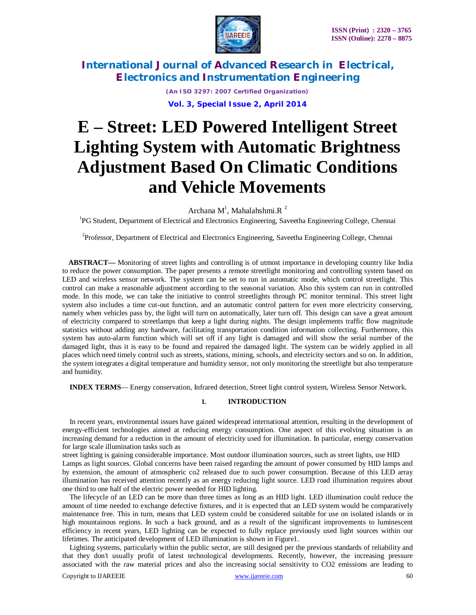

> *(An ISO 3297: 2007 Certified Organization)* **Vol. 3, Special Issue 2, April 2014**

# **E – Street: LED Powered Intelligent Street Lighting System with Automatic Brightness Adjustment Based On Climatic Conditions and Vehicle Movements**

Archana  $M<sup>1</sup>$ , Mahalahshmi.R<sup>2</sup>

<sup>1</sup>PG Student, Department of Electrical and Electronics Engineering, Saveetha Engineering College, Chennai

<sup>2</sup>Professor, Department of Electrical and Electronics Engineering, Saveetha Engineering College, Chennai

**ABSTRACT—** Monitoring of street lights and controlling is of utmost importance in developing country like India to reduce the power consumption. The paper presents a remote streetlight monitoring and controlling system based on LED and wireless sensor network. The system can be set to run in automatic mode, which control streetlight. This control can make a reasonable adjustment according to the seasonal variation. Also this system can run in controlled mode. In this mode, we can take the initiative to control streetlights through PC monitor terminal. This street light system also includes a time cut-out function, and an automatic control pattern for even more electricity conserving, namely when vehicles pass by, the light will turn on automatically, later turn off. This design can save a great amount of electricity compared to streetlamps that keep a light during nights. The design implements traffic flow magnitude statistics without adding any hardware, facilitating transportation condition information collecting. Furthermore, this system has auto-alarm function which will set off if any light is damaged and will show the serial number of the damaged light, thus it is easy to be found and repaired the damaged light. The system can be widely applied in all places which need timely control such as streets, stations, mining, schools, and electricity sectors and so on. In addition, the system integrates a digital temperature and humidity sensor, not only monitoring the streetlight but also temperature and humidity.

**INDEX TERMS**— Energy conservation, Infrared detection, Street light control system, Wireless Sensor Network.

# **I. INTRODUCTION**

In recent years, environmental issues have gained widespread international attention, resulting in the development of energy-efficient technologies aimed at reducing energy consumption. One aspect of this evolving situation is an increasing demand for a reduction in the amount of electricity used for illumination. In particular, energy conservation for large scale illumination tasks such as

street lighting is gaining considerable importance. Most outdoor illumination sources, such as street lights, use HID Lamps as light sources. Global concerns have been raised regarding the amount of power consumed by HID lamps and by extension, the amount of atmospheric co2 released due to such power consumption. Because of this LED array illumination has received attention recently as an energy reducing light source. LED road illumination requires about one third to one half of the electric power needed for HID lighting.

The lifecycle of an LED can be more than three times as long as an HID light. LED illumination could reduce the amount of time needed to exchange defective fixtures, and it is expected that an LED system would be comparatively maintenance free. This in turn, means that LED system could be considered suitable for use on isolated islands or in high mountainous regions. In such a back ground, and as a result of the significant improvements to luminescent efficiency in recent years, LED lighting can be expected to fully replace previously used light sources within our lifetimes. The anticipated development of LED illumination is shown in Figure1.

Lighting systems, particularly within the public sector, are still designed per the previous standards of reliability and that they don't usually profit of latest technological developments. Recently, however, the increasing pressure associated with the raw material prices and also the increasing social sensitivity to CO2 emissions are leading to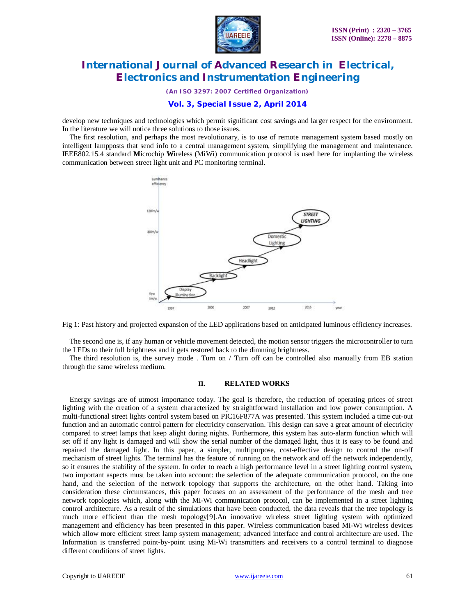

*(An ISO 3297: 2007 Certified Organization)*

# **Vol. 3, Special Issue 2, April 2014**

develop new techniques and technologies which permit significant cost savings and larger respect for the environment. In the literature we will notice three solutions to those issues.

The first resolution, and perhaps the most revolutionary, is to use of remote management system based mostly on intelligent lampposts that send info to a central management system, simplifying the management and maintenance. IEEE802.15.4 standard **Mi**crochip **Wi**reless (MiWi) communication protocol is used here for implanting the wireless communication between street light unit and PC monitoring terminal.



Fig 1: Past history and projected expansion of the LED applications based on anticipated luminous efficiency increases.

The second one is, if any human or vehicle movement detected, the motion sensor triggers the microcontroller to turn the LEDs to their full brightness and it gets restored back to the dimming brightness.

The third resolution is, the survey mode . Turn on / Turn off can be controlled also manually from EB station through the same wireless medium.

## **II. RELATED WORKS**

Energy savings are of utmost importance today. The goal is therefore, the reduction of operating prices of street lighting with the creation of a system characterized by straightforward installation and low power consumption. A multi-functional street lights control system based on PIC16F877A was presented. This system included a time cut-out function and an automatic control pattern for electricity conservation. This design can save a great amount of electricity compared to street lamps that keep alight during nights. Furthermore, this system has auto-alarm function which will set off if any light is damaged and will show the serial number of the damaged light, thus it is easy to be found and repaired the damaged light. In this paper, a simpler, multipurpose, cost-effective design to control the on-off mechanism of street lights. The terminal has the feature of running on the network and off the network independently, so it ensures the stability of the system. In order to reach a high performance level in a street lighting control system, two important aspects must be taken into account: the selection of the adequate communication protocol, on the one hand, and the selection of the network topology that supports the architecture, on the other hand. Taking into consideration these circumstances, this paper focuses on an assessment of the performance of the mesh and tree network topologies which, along with the Mi-Wi communication protocol, can be implemented in a street lighting control architecture. As a result of the simulations that have been conducted, the data reveals that the tree topology is much more efficient than the mesh topology[9].An innovative wireless street lighting system with optimized management and efficiency has been presented in this paper. Wireless communication based Mi-Wi wireless devices which allow more efficient street lamp system management; advanced interface and control architecture are used. The Information is transferred point-by-point using Mi-Wi transmitters and receivers to a control terminal to diagnose different conditions of street lights.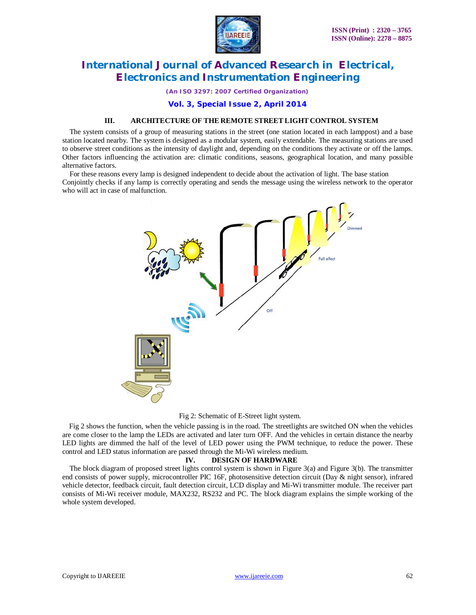

*(An ISO 3297: 2007 Certified Organization)*

**Vol. 3, Special Issue 2, April 2014**

## **III. ARCHITECTURE OF THE REMOTE STREET LIGHT CONTROL SYSTEM**

The system consists of a group of measuring stations in the street (one station located in each lamppost) and a base station located nearby. The system is designed as a modular system, easily extendable. The measuring stations are used to observe street conditions as the intensity of daylight and, depending on the conditions they activate or off the lamps. Other factors influencing the activation are: climatic conditions, seasons, geographical location, and many possible alternative factors.

For these reasons every lamp is designed independent to decide about the activation of light. The base station Conjointly checks if any lamp is correctly operating and sends the message using the wireless network to the operator who will act in case of malfunction.



#### Fig 2: Schematic of E-Street light system.

Fig 2 shows the function, when the vehicle passing is in the road. The streetlights are switched ON when the vehicles are come closer to the lamp the LEDs are activated and later turn OFF. And the vehicles in certain distance the nearby LED lights are dimmed the half of the level of LED power using the PWM technique, to reduce the power. These control and LED status information are passed through the Mi-Wi wireless medium.

## **IV. DESIGN OF HARDWARE**

The block diagram of proposed street lights control system is shown in Figure 3(a) and Figure 3(b). The transmitter end consists of power supply, microcontroller PIC 16F, photosensitive detection circuit (Day & night sensor), infrared vehicle detector, feedback circuit, fault detection circuit, LCD display and Mi-Wi transmitter module. The receiver part consists of Mi-Wi receiver module, MAX232, RS232 and PC. The block diagram explains the simple working of the whole system developed.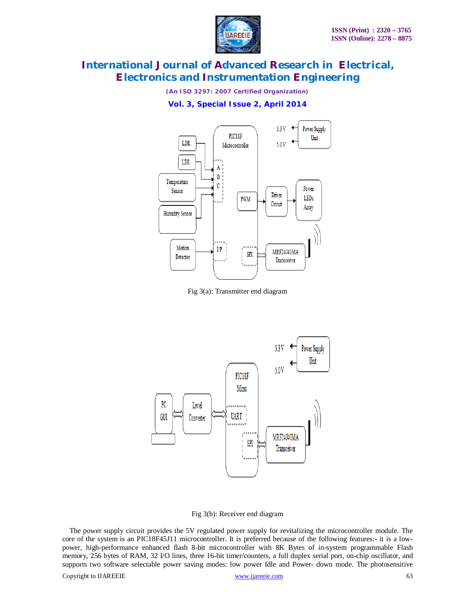

*(An ISO 3297: 2007 Certified Organization)*

**Vol. 3, Special Issue 2, April 2014**



Fig 3(a): Transmitter end diagram



Fig 3(b): Receiver end diagram

The power supply circuit provides the 5V regulated power supply for revitalizing the microcontroller module. The core of the system is an PIC18F45J11 microcontroller. It is preferred because of the following features:- it is a lowpower, high-performance enhanced flash 8-bit microcontroller with 8K Bytes of in-system programmable Flash memory, 256 bytes of RAM, 32 I/O lines, three 16-bit timer/counters, a full duplex serial port, on-chip oscillator, and supports two software selectable power saving modes: low power Idle and Power- down mode. The photosensitive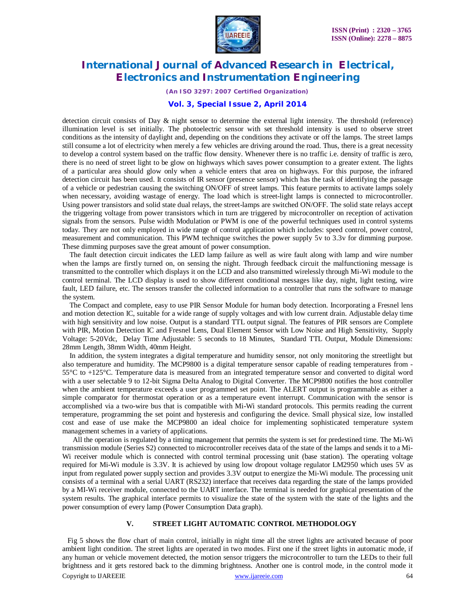

*(An ISO 3297: 2007 Certified Organization)*

## **Vol. 3, Special Issue 2, April 2014**

detection circuit consists of Day & night sensor to determine the external light intensity. The threshold (reference) illumination level is set initially. The photoelectric sensor with set threshold intensity is used to observe street conditions as the intensity of daylight and, depending on the conditions they activate or off the lamps. The street lamps still consume a lot of electricity when merely a few vehicles are driving around the road. Thus, there is a great necessity to develop a control system based on the traffic flow density. Whenever there is no traffic i.e. density of traffic is zero, there is no need of street light to be glow on highways which saves power consumption to a greater extent. The lights of a particular area should glow only when a vehicle enters that area on highways. For this purpose, the infrared detection circuit has been used. It consists of IR sensor (presence sensor) which has the task of identifying the passage of a vehicle or pedestrian causing the switching ON/OFF of street lamps. This feature permits to activate lamps solely when necessary, avoiding wastage of energy. The load which is street-light lamps is connected to microcontroller. Using power transistors and solid state dual relays, the street-lamps are switched ON/OFF. The solid state relays accept the triggering voltage from power transistors which in turn are triggered by microcontroller on reception of activation signals from the sensors. Pulse width Modulation or PWM is one of the powerful techniques used in control systems today. They are not only employed in wide range of control application which includes: speed control, power control, measurement and communication. This PWM technique switches the power supply 5v to 3.3v for dimming purpose. These dimming purposes save the great amount of power consumption.

The fault detection circuit indicates the LED lamp failure as well as wire fault along with lamp and wire number when the lamps are firstly turned on, on sensing the night. Through feedback circuit the malfunctioning message is transmitted to the controller which displays it on the LCD and also transmitted wirelessly through Mi-Wi module to the control terminal. The LCD display is used to show different conditional messages like day, night, light testing, wire fault, LED failure, etc. The sensors transfer the collected information to a controller that runs the software to manage the system.

The Compact and complete, easy to use PIR Sensor Module for human body detection. Incorporating a Fresnel lens and motion detection IC, suitable for a wide range of supply voltages and with low current drain. Adjustable delay time with high sensitivity and low noise. Output is a standard TTL output signal. The features of PIR sensors are Complete with PIR, Motion Detection IC and Fresnel Lens, Dual Element Sensor with Low Noise and High Sensitivity, Supply Voltage: 5-20Vdc, Delay Time Adjustable: 5 seconds to 18 Minutes, Standard TTL Output, Module Dimensions: 28mm Length, 38mm Width, 40mm Height.

In addition, the system integrates a digital temperature and humidity sensor, not only monitoring the streetlight but also temperature and humidity. The MCP9800 is a digital temperature sensor capable of reading temperatures from - 55°C to +125°C. Temperature data is measured from an integrated temperature sensor and converted to digital word with a user selectable 9 to 12-bit Sigma Delta Analog to Digital Converter. The MCP9800 notifies the host controller when the ambient temperature exceeds a user programmed set point. The ALERT output is programmable as either a simple comparator for thermostat operation or as a temperature event interrupt. Communication with the sensor is accomplished via a two-wire bus that is compatible with Mi-Wi standard protocols. This permits reading the current temperature, programming the set point and hysteresis and configuring the device. Small physical size, low installed cost and ease of use make the MCP9800 an ideal choice for implementing sophisticated temperature system management schemes in a variety of applications.

All the operation is regulated by a timing management that permits the system is set for predestined time. The Mi-Wi transmission module (Series S2) connected to microcontroller receives data of the state of the lamps and sends it to a Mi-Wi receiver module which is connected with control terminal processing unit (base station). The operating voltage required for Mi-Wi module is 3.3V. It is achieved by using low dropout voltage regulator LM2950 which uses 5V as input from regulated power supply section and provides 3.3V output to energize the Mi-Wi module. The processing unit consists of a terminal with a serial UART (RS232) interface that receives data regarding the state of the lamps provided by a MI-Wi receiver module, connected to the UART interface. The terminal is needed for graphical presentation of the system results. The graphical interface permits to visualize the state of the system with the state of the lights and the power consumption of every lamp (Power Consumption Data graph).

# **V. STREET LIGHT AUTOMATIC CONTROL METHODOLOGY**

Copyright to IJAREEIE www.ijareeie.com 64 Fig 5 shows the flow chart of main control, initially in night time all the street lights are activated because of poor ambient light condition. The street lights are operated in two modes. First one if the street lights in automatic mode, if any human or vehicle movement detected, the motion sensor triggers the microcontroller to turn the LEDs to their full brightness and it gets restored back to the dimming brightness. Another one is control mode, in the control mode it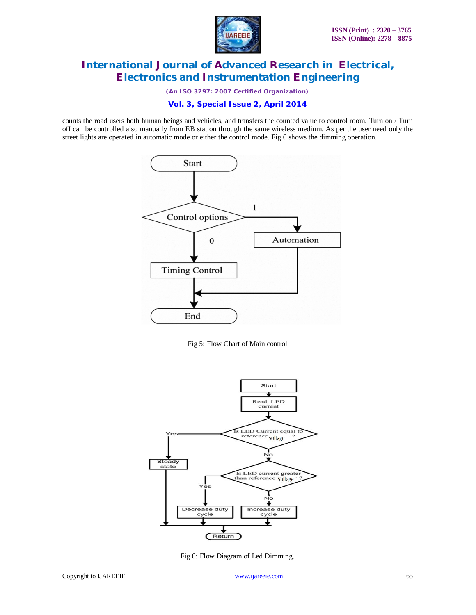

*(An ISO 3297: 2007 Certified Organization)*

**Vol. 3, Special Issue 2, April 2014**

counts the road users both human beings and vehicles, and transfers the counted value to control room. Turn on / Turn off can be controlled also manually from EB station through the same wireless medium. As per the user need only the street lights are operated in automatic mode or either the control mode. Fig 6 shows the dimming operation.



Fig 5: Flow Chart of Main control



Fig 6: Flow Diagram of Led Dimming.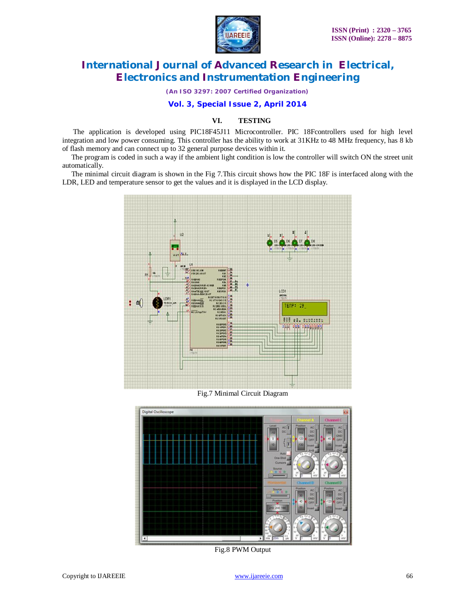

*(An ISO 3297: 2007 Certified Organization)*

## **Vol. 3, Special Issue 2, April 2014**

# **VI. TESTING**

The application is developed using PIC18F45J11 Microcontroller. PIC 18Fcontrollers used for high level integration and low power consuming. This controller has the ability to work at 31KHz to 48 MHz frequency, has 8 kb of flash memory and can connect up to 32 general purpose devices within it.

 The program is coded in such a way if the ambient light condition is low the controller will switch ON the street unit automatically.

 The minimal circuit diagram is shown in the Fig 7.This circuit shows how the PIC 18F is interfaced along with the LDR, LED and temperature sensor to get the values and it is displayed in the LCD display.



Fig.7 Minimal Circuit Diagram



Fig.8 PWM Output